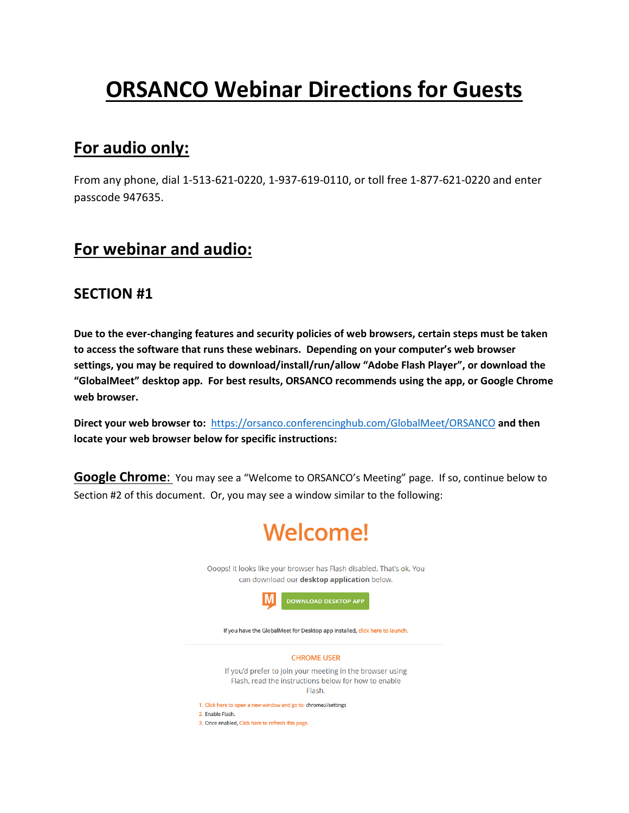# **ORSANCO Webinar Directions for Guests**

### **For audio only:**

From any phone, dial 1-513-621-0220, 1-937-619-0110, or toll free 1-877-621-0220 and enter passcode 947635.

## **For webinar and audio:**

#### **SECTION #1**

**Due to the ever-changing features and security policies of web browsers, certain steps must be taken to access the software that runs these webinars. Depending on your computer's web browser settings, you may be required to download/install/run/allow "Adobe Flash Player", or download the "GlobalMeet" desktop app. For best results, ORSANCO recommends using the app, or Google Chrome web browser.**

**Direct your web browser to:** <https://orsanco.conferencinghub.com/GlobalMeet/ORSANCO> **and then locate your web browser below for specific instructions:**

**Google Chrome:** You may see a "Welcome to ORSANCO's Meeting" page. If so, continue below to Section #2 of this document. Or, you may see a window similar to the following:

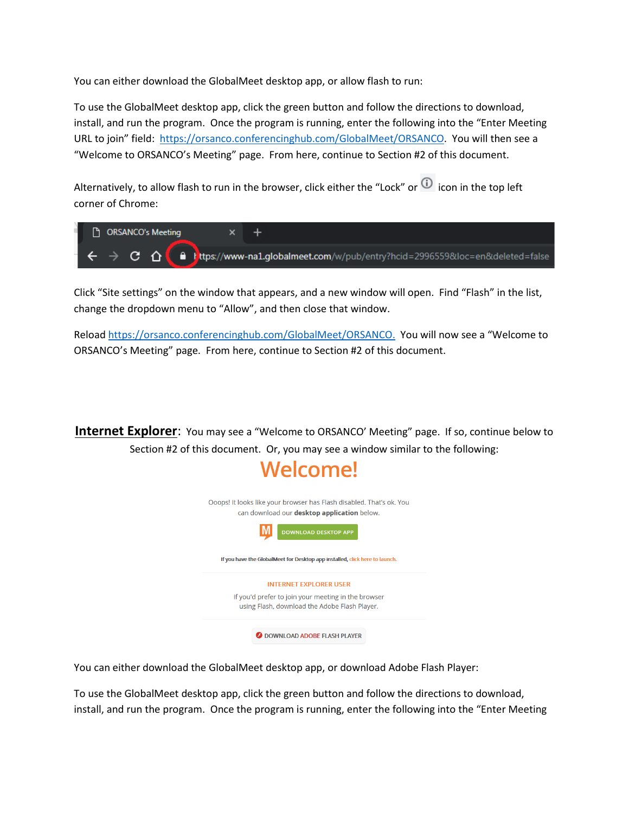You can either download the GlobalMeet desktop app, or allow flash to run:

To use the GlobalMeet desktop app, click the green button and follow the directions to download, install, and run the program. Once the program is running, enter the following into the "Enter Meeting URL to join" field: [https://orsanco.conferencinghub.com/GlobalMeet/ORSANCO.](https://orsanco.conferencinghub.com/GlobalMeet/ORSANCO) You will then see a "Welcome to ORSANCO's Meeting" page. From here, continue to Section #2 of this document.

Alternatively, to allow flash to run in the browser, click either the "Lock" or  $\overline{10}$  icon in the top left corner of Chrome:

| <b>F</b> ORSANCO's Meeting |                                              |  |
|----------------------------|----------------------------------------------|--|
|                            | $\epsilon \rightarrow c$ $\alpha$ $\epsilon$ |  |

Click "Site settings" on the window that appears, and a new window will open. Find "Flash" in the list, change the dropdown menu to "Allow", and then close that window.

Reload [https://orsanco.conferencinghub.com/GlobalMeet/ORSANCO.](https://orsanco.conferencinghub.com/GlobalMeet/ORSANCO) You will now see a "Welcome to ORSANCO's Meeting" page. From here, continue to Section #2 of this document.

**Internet Explorer:** You may see a "Welcome to ORSANCO' Meeting" page. If so, continue below to Section #2 of this document. Or, you may see a window similar to the following:



You can either download the GlobalMeet desktop app, or download Adobe Flash Player:

To use the GlobalMeet desktop app, click the green button and follow the directions to download, install, and run the program. Once the program is running, enter the following into the "Enter Meeting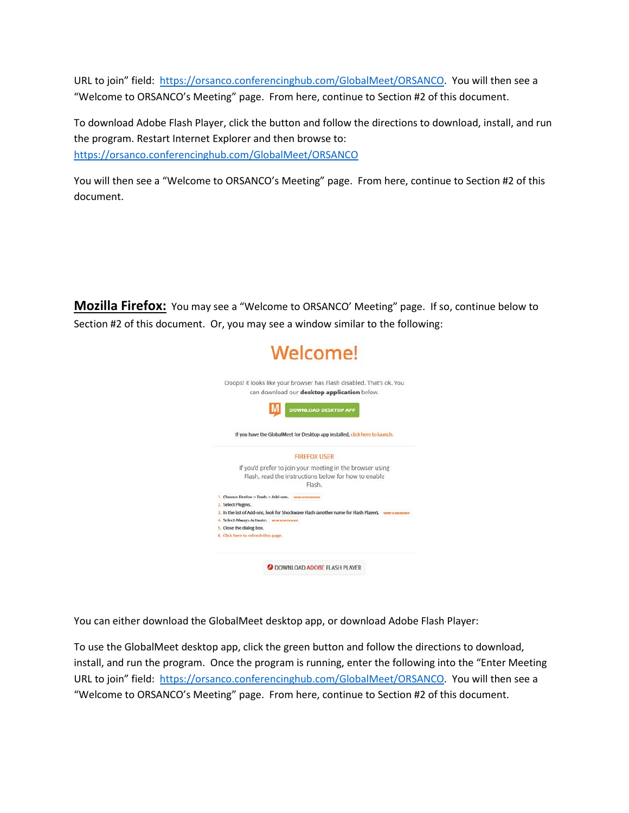URL to join" field: [https://orsanco.conferencinghub.com/GlobalMeet/ORSANCO.](https://orsanco.conferencinghub.com/GlobalMeet/ORSANCO) You will then see a "Welcome to ORSANCO's Meeting" page. From here, continue to Section #2 of this document.

To download Adobe Flash Player, click the button and follow the directions to download, install, and run the program. Restart Internet Explorer and then browse to: <https://orsanco.conferencinghub.com/GlobalMeet/ORSANCO>

You will then see a "Welcome to ORSANCO's Meeting" page. From here, continue to Section #2 of this document.

**Mozilla Firefox:** You may see a "Welcome to ORSANCO' Meeting" page. If so, continue below to Section #2 of this document. Or, you may see a window similar to the following:



You can either download the GlobalMeet desktop app, or download Adobe Flash Player:

To use the GlobalMeet desktop app, click the green button and follow the directions to download, install, and run the program. Once the program is running, enter the following into the "Enter Meeting URL to join" field: [https://orsanco.conferencinghub.com/GlobalMeet/ORSANCO.](https://orsanco.conferencinghub.com/GlobalMeet/ORSANCO) You will then see a "Welcome to ORSANCO's Meeting" page. From here, continue to Section #2 of this document.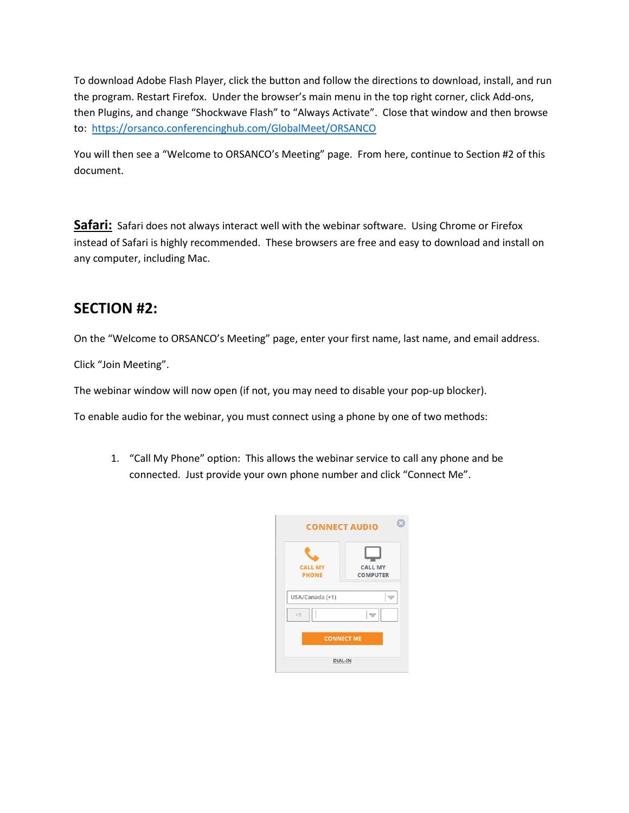To download Adobe Flash Player, click the button and follow the directions to download, install, and run the program. Restart Firefox. Under the browser's main menu in the top right corner, click Add-ons, then Plugins, and change "Shockwave Flash" to "Always Activate". Close that window and then browse to: <https://orsanco.conferencinghub.com/GlobalMeet/ORSANCO>

You will then see a "Welcome to ORSANCO's Meeting" page. From here, continue to Section #2 of this document.

Safari: Safari does not always interact well with the webinar software. Using Chrome or Firefox instead of Safari is highly recommended. These browsers are free and easy to download and install on any computer, including Mac.

#### **SECTION #2:**

On the "Welcome to ORSANCO's Meeting" page, enter your first name, last name, and email address.

Click "Join Meeting".

The webinar window will now open (if not, you may need to disable your pop-up blocker).

To enable audio for the webinar, you must connect using a phone by one of two methods:

1. "Call My Phone" option: This allows the webinar service to call any phone and be connected. Just provide your own phone number and click "Connect Me".